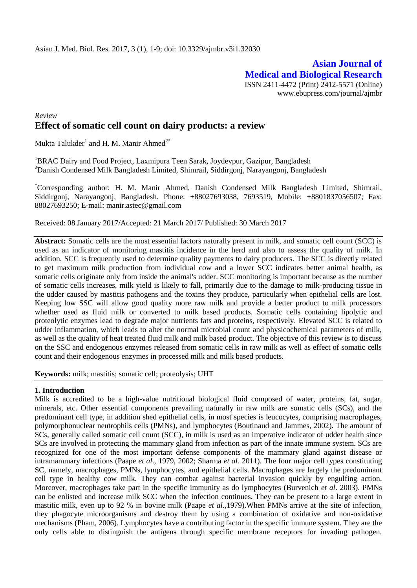**Asian Journal of Medical and Biological Research** ISSN 2411-4472 (Print) 2412-5571 (Online) www.ebupress.com/journal/ajmbr

# *Review* **Effect of somatic cell count on dairy products: a review**

Mukta Talukder $^{\rm l}$  and H. M. Manir Ahmed $^{\rm 2^{\ast}}$ 

<sup>1</sup>BRAC Dairy and Food Project, Laxmipura Teen Sarak, Joydevpur, Gazipur, Bangladesh <sup>2</sup>Danish Condensed Milk Bangladesh Limited, Shimrail, Siddirgonj, Narayangonj, Bangladesh

\*Corresponding author: H. M. Manir Ahmed, Danish Condensed Milk Bangladesh Limited, Shimrail, Siddirgonj, Narayangonj, Bangladesh. Phone: +88027693038, 7693519, Mobile: +8801837056507; Fax: 88027693250; E-mail: [manir.astec@gmail.com](mailto:manir.astec@gmail.com)

Received: 08 January 2017/Accepted: 21 March 2017/ Published: 30 March 2017

**Abstract:** Somatic cells are the most essential factors naturally present in milk, and somatic cell count (SCC) is used as an indicator of monitoring mastitis incidence in the herd and also to assess the quality of milk. In addition, SCC is frequently used to determine quality payments to dairy producers. The SCC is directly related to get maximum milk production from individual cow and a lower SCC indicates better animal health, as somatic cells originate only from inside the animal's udder. SCC monitoring is important because as the number of somatic cells increases, milk yield is likely to fall, primarily due to the damage to milk-producing tissue in the udder caused by mastitis pathogens and the toxins they produce, particularly when epithelial cells are lost. Keeping low SSC will allow good quality more raw milk and provide a better product to milk processors whether used as fluid milk or converted to milk based products. Somatic cells containing lipolytic and proteolytic enzymes lead to degrade major nutrients fats and proteins, respectively. Elevated SCC is related to udder inflammation, which leads to alter the normal microbial count and physicochemical parameters of milk, as well as the quality of heat treated fluid milk and milk based product. The objective of this review is to discuss on the SSC and endogenous enzymes released from somatic cells in raw milk as well as effect of somatic cells count and their endogenous enzymes in processed milk and milk based products.

**Keywords:** milk; mastitis; somatic cell; proteolysis; UHT

# **1. Introduction**

Milk is accredited to be a high-value nutritional biological fluid composed of water, proteins, fat, sugar, minerals, etc. Other essential components prevailing naturally in raw milk are somatic cells (SCs), and the predominant cell type, in addition shed epithelial cells, in most species is leucocytes, comprising macrophages, polymorphonuclear neutrophils cells (PMNs), and lymphocytes (Boutinaud and Jammes, 2002). The amount of SCs, generally called somatic cell count (SCC), in milk is used as an imperative indicator of udder health since SCs are involved in protecting the mammary gland from infection as part of the innate immune system. SCs are recognized for one of the most important defense components of the mammary gland against disease or intramammary infections (Paape *et al*., 1979, 2002; Sharma *et al*. 2011). The four major cell types constituting SC, namely, macrophages, PMNs, lymphocytes, and epithelial cells. Macrophages are largely the predominant cell type in healthy cow milk. They can combat against bacterial invasion quickly by engulfing action. Moreover, macrophages take part in the specific immunity as do lymphocytes (Burvenich *et al*. 2003). PMNs can be enlisted and increase milk SCC when the infection continues. They can be present to a large extent in mastitic milk, even up to 92 % in bovine milk (Paape *et al.,*1979).When PMNs arrive at the site of infection, they phagocyte microorganisms and destroy them by using a combination of oxidative and non-oxidative mechanisms (Pham, 2006). Lymphocytes have a contributing factor in the specific immune system. They are the only cells able to distinguish the antigens through specific membrane receptors for invading pathogen.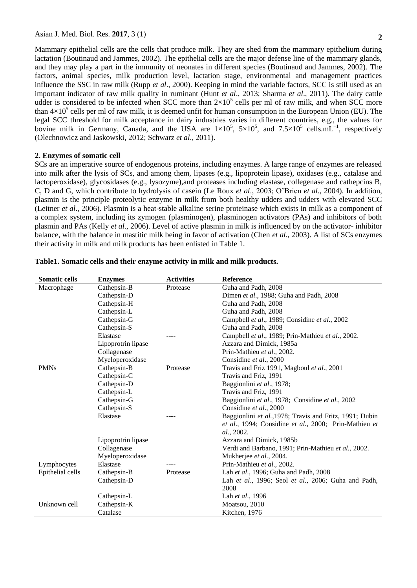Mammary epithelial cells are the cells that produce milk. They are shed from the mammary epithelium during lactation (Boutinaud and Jammes, 2002). The epithelial cells are the major defense line of the mammary glands, and they may play a part in the immunity of neonates in different species (Boutinaud and Jammes, 2002). The

factors, animal species, milk production level, lactation stage, environmental and management practices influence the SSC in raw milk (Rupp *et al*., 2000). Keeping in mind the variable factors, SCC is still used as an important indicator of raw milk quality in ruminant (Hunt *et al*., 2013; Sharma *et al*., 2011). The dairy cattle udder is considered to be infected when SCC more than  $2\times10^5$  cells per ml of raw milk, and when SCC more than  $4\times10^5$  cells per ml of raw milk, it is deemed unfit for human consumption in the European Union (EU). The legal SCC threshold for milk acceptance in dairy industries varies in different countries, e.g., the values for bovine milk in Germany, Canada, and the USA are  $1\times10^5$ ,  $5\times10^5$ , and  $7.5\times10^5$  cells.mL<sup>-1</sup>, respectively (Olechnowicz and Jaskowski, 2012; Schwarz *et al*., 2011).

## **2. Enzymes of somatic cell**

SCs are an imperative source of endogenous proteins, including enzymes. A large range of enzymes are released into milk after the lysis of SCs, and among them, lipases (e.g., lipoprotein lipase), oxidases (e.g., catalase and lactoperoxidase), glycosidases (e.g., lysozyme),and proteases including elastase, collegenase and cathepcins B, C, D and G, which contribute to hydrolysis of casein (Le Roux *et al*., 2003; O'Brien *et al*., 2004). In addition, plasmin is the principle proteolytic enzyme in milk from both healthy udders and udders with elevated SCC (Leitner *et al*., 2006). Plasmin is a heat-stable alkaline serine proteinase which exists in milk as a component of a complex system, including its zymogen (plasminogen), plasminogen activators (PAs) and inhibitors of both plasmin and PAs (Kelly *et al*., 2006). Level of active plasmin in milk is influenced by on the activator- inhibitor balance, with the balance in mastitic milk being in favor of activation (Chen *et al*., 2003). A list of SCs enzymes their activity in milk and milk products has been enlisted in Table 1.

| <b>Somatic cells</b> | <b>Enzymes</b>     | <b>Activities</b> | <b>Reference</b>                                                    |
|----------------------|--------------------|-------------------|---------------------------------------------------------------------|
| Macrophage           | Cathepsin-B        | Protease          | Guha and Padh, 2008                                                 |
|                      | Cathepsin-D        |                   | Dimen et al., 1988; Guha and Padh, 2008                             |
|                      | Cathepsin-H        |                   | Guha and Padh, 2008                                                 |
|                      | Cathepsin-L        |                   | Guha and Padh, 2008                                                 |
|                      | Cathepsin-G        |                   | Campbell et al., 1989; Considine et al., 2002                       |
|                      | Cathepsin-S        |                   | Guha and Padh, 2008                                                 |
|                      | Elastase           |                   | Campbell et al., 1989; Prin-Mathieu et al., 2002.                   |
|                      | Lipoprotrin lipase |                   | Azzara and Dimick, 1985a                                            |
|                      | Collagenase        |                   | Prin-Mathieu et al., 2002.                                          |
|                      | Myeloperoxidase    |                   | Considine et al., 2000                                              |
| <b>PMNs</b>          | Cathepsin-B        | Protease          | Travis and Friz 1991, Magboul et al., 2001                          |
|                      | Cathepsin-C        |                   | Travis and Friz, 1991                                               |
|                      | Cathepsin-D        |                   | Baggionlini et al., 1978;                                           |
|                      | Cathepsin-L        |                   | Travis and Friz, 1991                                               |
|                      | Cathepsin-G        |                   | Baggionlini et al., 1978; Considine et al., 2002                    |
|                      | Cathepsin-S        |                   | Considine et al., 2000                                              |
|                      | Elastase           |                   | Baggionlini et al., 1978; Travis and Fritz, 1991; Dubin             |
|                      |                    |                   | et al., 1994; Considine et al., 2000; Prin-Mathieu et<br>al., 2002. |
|                      | Lipoprotrin lipase |                   | Azzara and Dimick, 1985b                                            |
|                      | Collagenase        |                   | Verdi and Barbano, 1991; Prin-Mathieu et al., 2002.                 |
|                      | Myeloperoxidase    |                   | Mukherjee et al., 2004.                                             |
| Lymphocytes          | Elastase           |                   | Prin-Mathieu et al., 2002.                                          |
| Epithelial cells     | Cathepsin-B        | Protease          | Lah et al., 1996; Guha and Padh, 2008                               |
|                      | Cathepsin-D        |                   | Lah et al., 1996; Seol et al., 2006; Guha and Padh,                 |
|                      |                    |                   | 2008                                                                |
|                      | Cathepsin-L        |                   | Lah et al., 1996                                                    |
| Unknown cell         | Cathepsin-K        |                   | Moatsou, 2010                                                       |
|                      | Catalase           |                   | Kitchen, 1976                                                       |

**Table1. Somatic cells and their enzyme activity in milk and milk products.**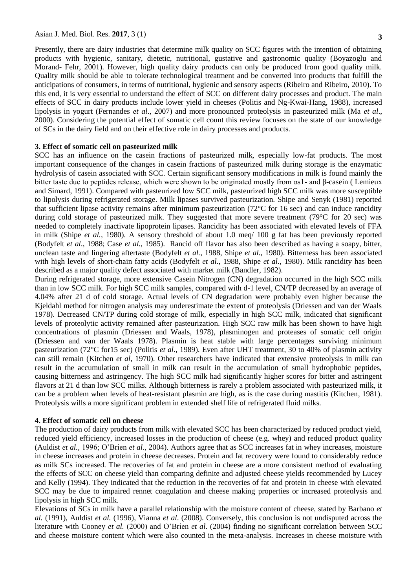Presently, there are dairy industries that determine milk quality on SCC figures with the intention of obtaining products with hygienic, sanitary, dietetic, nutritional, gustative and gastronomic quality (Boyazoglu and Morand- Fehr, 2001). However, high quality dairy products can only be produced from good quality milk. Quality milk should be able to tolerate technological treatment and be converted into products that fulfill the anticipations of consumers, in terms of nutritional, hygienic and sensory aspects (Ribeiro and Ribeiro, 2010). To this end, it is very essential to understand the effect of SCC on different dairy processes and product. The main effects of SCC in dairy products include lower yield in cheeses (Politis and Ng-Kwai-Hang, 1988), increased lipolysis in yogurt (Fernandes *et al*., 2007) and more pronounced proteolysis in pasteurized milk (Ma *et al*., 2000). Considering the potential effect of somatic cell count this review focuses on the state of our knowledge of SCs in the dairy field and on their effective role in dairy processes and products.

## **3. Effect of somatic cell on pasteurized milk**

SCC has an influence on the casein fractions of pasteurized milk, especially low-fat products. The most important consequence of the changes in casein fractions of pasteurized milk during storage is the enzymatic hydrolysis of casein associated with SCC. Certain significant sensory modifications in milk is found mainly the bitter taste due to peptides release, which were shown to be originated mostly from αs1- and β-casein ( Lemieux and Simard, 1991). Compared with pasteurized low SCC milk, pasteurized high SCC milk was more susceptible to lipolysis during refrigerated storage. Milk lipases survived pasteurization. Shipe and Senyk (1981) reported that sufficient lipase activity remains after minimum pasteurization ( $72^{\circ}$ C for 16 sec) and can induce rancidity during cold storage of pasteurized milk. They suggested that more severe treatment (79°C for 20 sec) was needed to completely inactivate lipoprotein lipases. Rancidity has been associated with elevated levels of FFA in milk (Shipe *et al.,* 1980). A sensory threshold of about 1.0 meq/ 100 g fat has been previously reported (Bodyfelt *et al*., 1988; Case *et al.,* 1985). Rancid off flavor has also been described as having a soapy, bitter, unclean taste and lingering aftertaste (Bodyfelt *et al.,* 1988, Shipe *et al.,* 1980). Bitterness has been associated with high levels of short-chain fatty acids (Bodyfelt *et al.,* 1988, Shipe *et al.,* 1980). Milk rancidity has been described as a major quality defect associated with market milk (Bandler, 1982).

During refrigerated storage, more extensive Casein Nitrogen (CN) degradation occurred in the high SCC milk than in low SCC milk. For high SCC milk samples, compared with d-1 level, CN/TP decreased by an average of 4.04% after 21 d of cold storage. Actual levels of CN degradation were probably even higher because the Kjeldahl method for nitrogen analysis may underestimate the extent of proteolysis (Driessen and van der Waals 1978). Decreased CN/TP during cold storage of milk, especially in high SCC milk, indicated that significant levels of proteolytic activity remained after pasteurization. High SCC raw milk has been shown to have high concentrations of plasmin (Driessen and Waals, 1978), plasminogen and proteases of somatic cell origin (Driessen and van der Waals 1978). Plasmin is heat stable with large percentages surviving minimum pasteurization (72°C for15 sec) (Politis *et al.,* 1989). Even after UHT treatment, 30 to 40% of plasmin activity can still remain (Kitchen *et al*, 1970). Other researchers have indicated that extensive proteolysis in milk can result in the accumulation of small in milk can result in the accumulation of small hydrophobic peptides, causing bitterness and astringency. The high SCC milk had significantly higher scores for bitter and astringent flavors at 21 d than low SCC milks. Although bitterness is rarely a problem associated with pasteurized milk, it can be a problem when levels of heat-resistant plasmin are high, as is the case during mastitis (Kitchen*,* 1981). Proteolysis wills a more significant problem in extended shelf life of refrigerated fluid milks.

#### **4. Effect of somatic cell on cheese**

The production of dairy products from milk with elevated SCC has been characterized by reduced product yield, reduced yield efficiency, increased losses in the production of cheese (e.g. whey) and reduced product quality (Auldist *et al.,* 1996; O'Brien *et al.,* 2004). Authors agree that as SCC increases fat in whey increases, moisture in cheese increases and protein in cheese decreases. Protein and fat recovery were found to considerably reduce as milk SCs increased. The recoveries of fat and protein in cheese are a more consistent method of evaluating the effects of SCC on cheese yield than comparing definite and adjusted cheese yields recommended by Lucey and Kelly (1994). They indicated that the reduction in the recoveries of fat and protein in cheese with elevated SCC may be due to impaired rennet coagulation and cheese making properties or increased proteolysis and lipolysis in high SCC milk.

Elevations of SCs in milk have a parallel relationship with the moisture content of cheese, stated by Barbano *et al.* (1991), Auldist *et al.* (1996), Vianna *et al*. (2008). Conversely, this conclusion is not undisputed across the literature with Cooney *et al.* (2000) and O'Brien *et al*. (2004) finding no significant correlation between SCC and cheese moisture content which were also counted in the meta-analysis. Increases in cheese moisture with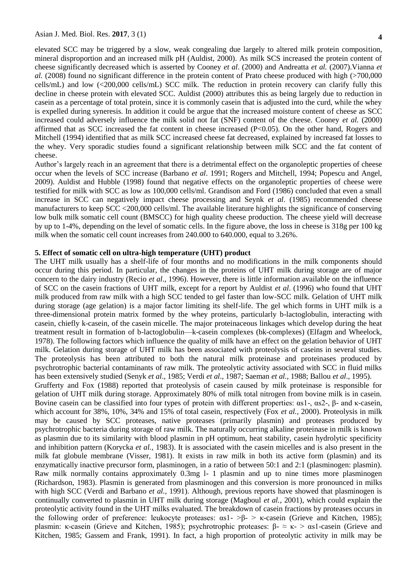elevated SCC may be triggered by a slow, weak congealing due largely to altered milk protein composition, mineral disproportion and an increased milk pH (Auldist, 2000). As milk SCS increased the protein content of cheese significantly decreased which is asserted by Cooney *et al*. (2000) and Andreatta *et al.* (2007).Vianna *et al.* (2008) found no significant difference in the protein content of Prato cheese produced with high (>700,000 cells/mL) and low (<200,000 cells/mL) SCC milk. The reduction in protein recovery can clarify fully this decline in cheese protein with elevated SCC. Auldist (2000) attributes this as being largely due to reduction in casein as a percentage of total protein, since it is commonly casein that is adjusted into the curd, while the whey is expelled during syneresis. In addition it could be argue that the increased moisture content of cheese as SCC increased could adversely influence the milk solid not fat (SNF) content of the cheese. Cooney *et al.* (2000) affirmed that as SCC increased the fat content in cheese increased  $(P<0.05)$ . On the other hand, Rogers and Mitchell (1994) identified that as milk SCC increased cheese fat decreased, explained by increased fat losses to the whey. Very sporadic studies found a significant relationship between milk SCC and the fat content of cheese.

Author's largely reach in an agreement that there is a detrimental effect on the organoleptic properties of cheese occur when the levels of SCC increase (Barbano *et al*. 1991; Rogers and Mitchell, 1994; Popescu and Angel, 2009). Auldist and Hubble (1998) found that negative effects on the organoleptic properties of cheese were testified for milk with SCC as low as 100,000 cells/ml. Grandison and Ford (1986) concluded that even a small increase in SCC can negatively impact cheese processing and Seynk *et al*. (1985) recommended cheese manufacturers to keep SCC <200,000 cells/ml. The available literature highlights the significance of conserving low bulk milk somatic cell count (BMSCC) for high quality cheese production. The cheese yield will decrease by up to 1-4%, depending on the level of somatic cells. In the figure above, the loss in cheese is 318g per 100 kg milk when the somatic cell count increases from 240.000 to 640.000, equal to 3.26%.

### **5. Effect of somatic cell on ultra-high temperature (UHT) product**

The UHT milk usually has a shelf-life of four months and no modifications in the milk components should occur during this period. In particular, the changes in the proteins of UHT milk during storage are of major concern to the dairy industry (Recio *et al*., 1996). However, there is little information available on the influence of SCC on the casein fractions of UHT milk, except for a report by Auldist *et al*. (1996) who found that UHT milk produced from raw milk with a high SCC tended to gel faster than low-SCC milk. Gelation of UHT milk during storage (age gelation) is a major factor limiting its shelf-life. The gel which forms in UHT milk is a three-dimensional protein matrix formed by the whey proteins, particularly b-lactoglobulin, interacting with casein, chiefly k-casein, of the casein micelle. The major proteinaceous linkages which develop during the heat treatment result in formation of b-lactoglobulin—k-casein complexes (bk-complexes) (Elfagm and Wheelock, 1978). The following factors which influence the quality of milk have an effect on the gelation behavior of UHT milk. Gelation during storage of UHT milk has been associated with proteolysis of caseins in several studies. The proteolysis has been attributed to both the natural milk proteinase and proteinases produced by psychrotrophic bacterial contaminants of raw milk. The proteolytic activity associated with SCC in fluid milks has been extensively studied (Senyk *et al*., 1985; Verdi *et al*., 1987; Saeman *et al.,* 1988; Ballou *et al*., 1995). Grufferty and Fox (1988) reported that proteolysis of casein caused by milk proteinase is responsible for gelation of UHT milk during storage. Approximately 80% of milk total nitrogen from bovine milk is in casein. Bovine casein can be classified into four types of protein with different properties: αs1-, αs2-, β- and κ-casein, which account for 38%, 10%, 34% and 15% of total casein, respectively (Fox *et al.*, 2000). Proteolysis in milk may be caused by SCC proteases, native proteases (primarily plasmin) and proteases produced by psychrotrophic bacteria during storage of raw milk. The naturally occurring alkaline proteinase in milk is known as plasmin due to its similarity with blood plasmin in pH optimum, heat stability, casein hydrolytic specificity and inhibition pattern (Korycka *et al.,* 1983). It is associated with the casein micelles and is also present in the milk fat globule membrane (Visser, 1981). It exists in raw milk in both its active form (plasmin) and its enzymatically inactive precursor form, plasminogen, in a ratio of between 50:1 and 2:1 (plasminogen: plasmin). Raw milk normally contains approximately 0.3mg l- 1 plasmin and up to nine times more plasminogen (Richardson, 1983). Plasmin is generated from plasminogen and this conversion is more pronounced in milks with high SCC (Verdi and Barbano *et al.,* 1991). Although, previous reports have showed that plasminogen is continually converted to plasmin in UHT milk during storage (Magboul *et al.*, 2001), which could explain the proteolytic activity found in the UHT milks evaluated. The breakdown of casein fractions by proteases occurs in the following order of preference: leukocyte proteases: αs1- >β- > κ-casein (Grieve and Kitchen, 1985); plasmin: κ-casein (Grieve and Kitchen, 1985); psychrotrophic proteases: β-  $\approx$  κ-  $>$  αs1-casein (Grieve and Kitchen, 1985; Gassem and Frank, 1991). In fact, a high proportion of proteolytic activity in milk may be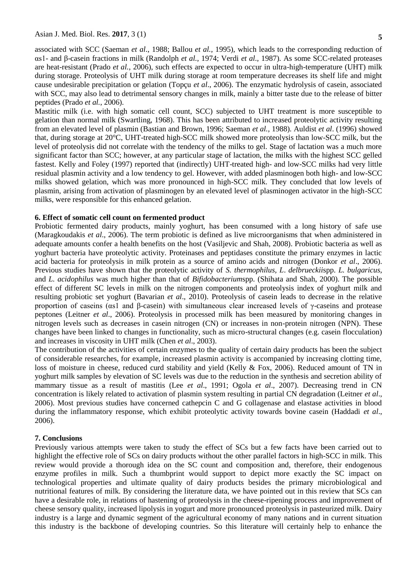associated with SCC (Saeman *et al*., 1988; Ballou *et al.,* 1995), which leads to the corresponding reduction of αs1- and β-casein fractions in milk (Randolph *et al.,* 1974; Verdi *et al.,* 1987). As some SCC-related proteases are heat-resistant (Prado *et al.*, 2006), such effects are expected to occur in ultra-high-temperature (UHT) milk during storage. Proteolysis of UHT milk during storage at room temperature decreases its shelf life and might cause undesirable precipitation or gelation (Topçu *et al*., 2006). The enzymatic hydrolysis of casein, associated with SCC, may also lead to detrimental sensory changes in milk, mainly a bitter taste due to the release of bitter peptides (Prado *et al.*, 2006).

Mastitic milk (i.e. with high somatic cell count, SCC) subjected to UHT treatment is more susceptible to gelation than normal milk (Swartling, 1968). This has been attributed to increased proteolytic activity resulting from an elevated level of plasmin (Bastian and Brown, 1996; Saeman *et al.,* 1988). Auldist *et al*. (1996) showed that, during storage at 20°C, UHT-treated high-SCC milk showed more proteolysis than low-SCC milk, but the level of proteolysis did not correlate with the tendency of the milks to gel. Stage of lactation was a much more significant factor than SCC; however, at any particular stage of lactation, the milks with the highest SCC gelled fastest. Kelly and Foley (1997) reported that (indirectly) UHT-treated high- and low-SCC milks had very little residual plasmin activity and a low tendency to gel. However, with added plasminogen both high- and low-SCC milks showed gelation, which was more pronounced in high-SCC milk. They concluded that low levels of plasmin, arising from activation of plasminogen by an elevated level of plasminogen activator in the high-SCC milks, were responsible for this enhanced gelation.

## **6. Effect of somatic cell count on fermented product**

Probiotic fermented dairy products, mainly yoghurt, has been consumed with a long history of safe use (Maragkoudakis *et al*., 2006). The term probiotic is defined as live microorganisms that when administered in adequate amounts confer a health benefits on the host (Vasiljevic and Shah, 2008). Probiotic bacteria as well as yoghurt bacteria have proteolytic activity. Proteinases and peptidases constitute the primary enzymes in lactic acid bacteria for proteolysis in milk protein as a source of amino acids and nitrogen (Donkor *et al*., 2006). Previous studies have shown that the proteolytic activity of *S. thermophilus, L*. *delbrueckii*spp. *L. bulgaricus*, and *L. acidophilus* was much higher than that of *Bifidobacterium*spp. (Shihata and Shah, 2000). The possible effect of different SC levels in milk on the nitrogen components and proteolysis index of yoghurt milk and resulting probiotic set yoghurt (Bavarian *et al*., 2010). Proteolysis of casein leads to decrease in the relative proportion of caseins (αs1 and β-casein) with simultaneous clear increased levels of γ-caseins and protease peptones (Leitner *et al*., 2006). Proteolysis in processed milk has been measured by monitoring changes in nitrogen levels such as decreases in casein nitrogen (CN) or increases in non-protein nitrogen (NPN). These changes have been linked to changes in functionality, such as micro-structural changes (e.g. casein flocculation) and increases in viscosity in UHT milk (Chen *et al*., 2003).

The contribution of the activities of certain enzymes to the quality of certain dairy products has been the subject of considerable researches, for example, increased plasmin activity is accompanied by increasing clotting time, loss of moisture in cheese, reduced curd stability and yield (Kelly & Fox, 2006). Reduced amount of TN in yoghurt milk samples by elevation of SC levels was due to the reduction in the synthesis and secretion ability of mammary tissue as a result of mastitis (Lee *et al*., 1991; Ogola *et al*., 2007). Decreasing trend in CN concentration is likely related to activation of plasmin system resulting in partial CN degradation (Leitner *et al*., 2006). Most previous studies have concerned cathepcin C and G collagenase and elastase activities in blood during the inflammatory response, which exhibit proteolytic activity towards bovine casein (Haddadi *et al*., 2006).

#### **7. Conclusions**

Previously various attempts were taken to study the effect of SCs but a few facts have been carried out to highlight the effective role of SCs on dairy products without the other parallel factors in high-SCC in milk. This review would provide a thorough idea on the SC count and composition and, therefore, their endogenous enzyme profiles in milk. Such a thumbprint would support to depict more exactly the SC impact on technological properties and ultimate quality of dairy products besides the primary microbiological and nutritional features of milk. By considering the literature data, we have pointed out in this review that SCs can have a desirable role, in relations of hastening of proteolysis in the cheese-ripening process and improvement of cheese sensory quality, increased lipolysis in yogurt and more pronounced proteolysis in pasteurized milk. Dairy industry is a large and dynamic segment of the agricultural economy of many nations and in current situation this industry is the backbone of developing countries. So this literature will certainly help to enhance the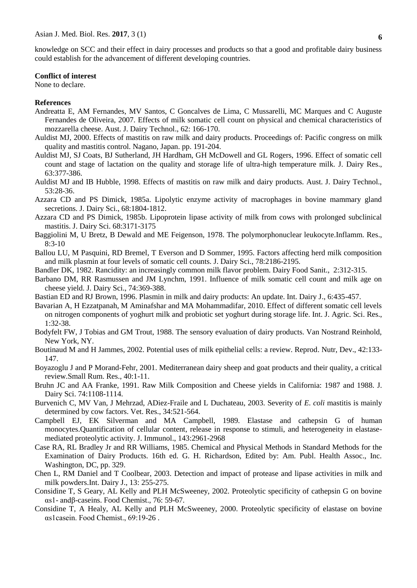knowledge on SCC and their effect in dairy processes and products so that a good and profitable dairy business could establish for the advancement of different developing countries.

#### **Conflict of interest**

None to declare.

## **References**

- Andreatta E, AM Fernandes, MV Santos, C Goncalves de Lima, C Mussarelli, MC Marques and C Auguste Fernandes de Oliveira, 2007. Effects of milk somatic cell count on physical and chemical characteristics of mozzarella cheese. Aust. J. Dairy Technol., 62: 166-170.
- Auldist MJ, 2000. Effects of mastitis on raw milk and dairy products. Proceedings of: Pacific congress on milk quality and mastitis control. Nagano, Japan. pp. 191-204.
- Auldist MJ, SJ Coats, BJ Sutherland, JH Hardham, GH McDowell and GL Rogers, 1996. Effect of somatic cell count and stage of lactation on the quality and storage life of ultra-high temperature milk. J. Dairy Res., 63:377-386.
- Auldist MJ and IB Hubble, 1998. Effects of mastitis on raw milk and dairy products. Aust. J. Dairy Technol., 53:28-36.
- Azzara CD and PS Dimick, 1985a. Lipolytic enzyme activity of macrophages in bovine mammary gland secretions. J. Dairy Sci., 68:1804-1812.
- Azzara CD and PS Dimick, 1985b. Lipoprotein lipase activity of milk from cows with prolonged subclinical mastitis. J. Dairy Sci. 68:3171-3175
- Baggiolini M, U Bretz, B Dewald and ME Feigenson, 1978. The polymorphonuclear leukocyte.Inflamm. Res.,  $8:3-10$
- Ballou LU, M Pasquini, RD Bremel, T Everson and D Sommer, 1995. Factors affecting herd milk composition and milk plasmin at four levels of somatic cell counts. J. Dairy Sci., 78:2186-2195.
- Bandler DK, 1982. Rancidity: an increasingly common milk flavor problem. Dairy Food Sanit., 2:312-315.
- Barbano DM, RR Rasmussen and JM Lynchm, 1991. Influence of milk somatic cell count and milk age on cheese yield. J. Dairy Sci., 74:369-388.
- Bastian ED and RJ Brown, 1996. Plasmin in milk and dairy products: An update. Int. Dairy J., 6:435-457.
- Bavarian A, H Ezzatpanah, M Aminafshar and MA Mohammadifar, 2010. Effect of different somatic cell levels on nitrogen components of yoghurt milk and probiotic set yoghurt during storage life. Int. J. Agric. Sci. Res., 1:32-38.
- Bodyfelt FW, J Tobias and GM Trout, 1988. The sensory evaluation of dairy products. Van Nostrand Reinhold, New York, NY.
- Boutinaud M and H Jammes, 2002. Potential uses of milk epithelial cells: a review. Reprod. Nutr, Dev., 42:133- 147.
- Boyazoglu J and P Morand-Fehr, 2001. Mediterranean dairy sheep and goat products and their quality, a critical review.Small Rum. Res., 40:1-11.
- Bruhn JC and AA Franke, 1991. Raw Milk Composition and Cheese yields in California: 1987 and 1988. J. Dairy Sci. 74:1108-1114.
- Burvenich C, MV Van, J Mehrzad, ADiez-Fraile and L Duchateau, 2003. Severity of *E. coli* mastitis is mainly determined by cow factors. Vet. Res., 34:521-564.
- Campbell EJ, EK Silverman and MA Campbell, 1989. Elastase and cathepsin G of human monocytes.Quantification of cellular content, release in response to stimuli, and heterogeneity in elastasemediated proteolytic activity. J. Immunol., 143:2961-2968
- Case RA, RL Bradley Jr and RR Williams, 1985. Chemical and Physical Methods in Standard Methods for the Examination of Dairy Products. 16th ed. G. H. Richardson, Edited by: Am. Publ. Health Assoc., Inc. Washington, DC, pp. 329.
- Chen L, RM Daniel and T Coolbear, 2003. Detection and impact of protease and lipase activities in milk and milk powders.Int. Dairy J., 13: 255-275.
- Considine T, S Geary, AL Kelly and PLH McSweeney, 2002. Proteolytic specificity of cathepsin G on bovine αs1- andβ-caseins. Food Chemist., 76: 59-67.
- Considine T, A Healy, AL Kelly and PLH McSweeney, 2000. Proteolytic specificity of elastase on bovine αs1casein. Food Chemist., 69:19-26 .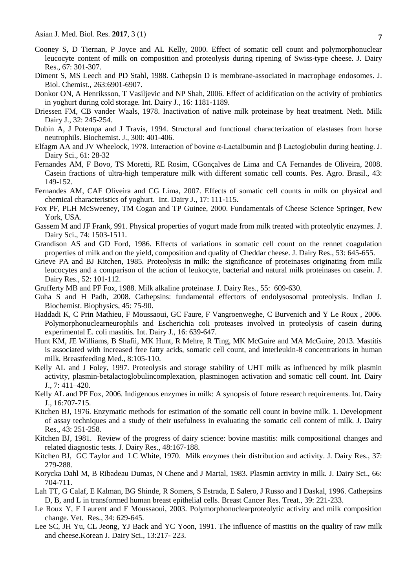- Cooney S, D Tiernan, P Joyce and AL Kelly, 2000. Effect of somatic cell count and polymorphonuclear leucocyte content of milk on composition and proteolysis during ripening of Swiss-type cheese. J. Dairy Res., 67: 301-307.
- Diment S, MS Leech and PD Stahl, 1988. Cathepsin D is membrane-associated in macrophage endosomes. J. Biol. Chemist., 263:6901-6907.
- Donkor ON, A Henriksson, T Vasiljevic and NP Shah, 2006. Effect of acidification on the activity of probiotics in yoghurt during cold storage*.* Int. Dairy J., 16: 1181-1189.
- Driessen FM, CB vander Waals, 1978. Inactivation of native milk proteinase by heat treatment. Neth. Milk Dairy J., 32: 245-254.
- Dubin A, J Potempa and J Travis, 1994. Structural and functional characterization of elastases from horse neutrophils. Biochemist. J., 300: 401-406.
- [Elfagm](http://www.sciencedirect.com/science/article/pii/S0022030278835462) AA and JV [Wheelock,](http://www.sciencedirect.com/science/article/pii/S0022030278835462) 1978. Interaction of bovine α-Lactalbumin and β Lactoglobulin during heating. J. Dairy Sci., 61: 28-32
- Fernandes AM, F Bovo, TS Moretti, RE Rosim, CGonçalves de Lima and CA Fernandes de Oliveira, 2008. Casein fractions of ultra-high temperature milk with different somatic cell counts. [Pes. Agro. Brasil.](http://www.scielo.br/scielo.php?script=sci_serial&pid=0100-204X&lng=en&nrm=iso), 43: 149-152.
- Fernandes AM, CAF Oliveira and CG Lima, 2007. Effects of somatic cell counts in milk on physical and chemical characteristics of yoghurt. [Int. Dairy J.](https://www.researchgate.net/journal/0958-6946_International_Dairy_Journal), 17: 111-115.
- Fox PF, PLH McSweeney, TM Cogan and TP Guinee, 2000. Fundamentals of Cheese Science Springer, New York, USA.
- Gassem M and JF Frank, 991. Physical properties of yogurt made from milk treated with proteolytic enzymes. J. Dairy Sci., 74: 1503-1511.
- Grandison AS and GD Ford, 1986. Effects of variations in somatic cell count on the rennet coagulation properties of milk and on the yield, composition and quality of Cheddar cheese. J. Dairy Res., 53: 645-655.
- Grieve PA and BJ Kitchen, 1985. Proteolysis in milk: the significance of proteinases originating from milk leucocytes and a comparison of the action of leukocyte, bacterial and natural milk proteinases on casein. J. Dairy Res., 52: 101-112.
- Grufferty MB and PF Fox, 1988. Milk alkaline proteinase. J. Dairy Res., 55: 609-630.
- Guha S and H Padh, 2008. Cathepsins: fundamental effectors of endolysosomal proteolysis. Indian J. Biochemist. Biophysics, 45: 75-90.
- Haddadi K, C Prin Mathieu, F Moussaoui, GC Faure, F Vangroenweghe, C Burvenich and Y Le Roux , 2006. Polymorphonuclearneurophils and Escherichia coli proteases involved in proteolysis of casein during experimental E. coli mastitis*.* Int. Dairy J., 16: 639-647.
- Hunt KM, JE Williams, B Shafii, MK Hunt, R Mehre, R Ting, MK McGuire and MA McGuire, 2013. Mastitis is associated with increased free fatty acids, somatic cell count, and interleukin-8 concentrations in human milk. Breastfeeding Med., 8:105-110.
- Kelly AL and J Foley, 1997. Proteolysis and storage stability of UHT milk as influenced by milk plasmin activity, plasmin-betalactoglobulincomplexation, plasminogen activation and somatic cell count. Int. Dairy J., 7: 411–420.
- Kelly AL and PF Fox, 2006. Indigenous enzymes in milk: A synopsis of future research requirements. Int. Dairy J., 16:707-715.
- Kitchen BJ, 1976. Enzymatic methods for estimation of the somatic cell count in bovine milk. 1. Development of assay techniques and a study of their usefulness in evaluating the somatic cell content of milk. J. Dairy Res., 43: 251-258.
- Kitchen BJ, 1981. Review of the progress of dairy science: bovine mastitis: milk compositional changes and related diagnostic tests. J. Dairy Res., 48:167-188.
- [Kitchen](https://www.cambridge.org/core/search?filters%5BauthorTerms%5D=B.%20J.%20Kitchen&eventCode=SE-AU) BJ, [GC Taylor](https://www.cambridge.org/core/search?filters%5BauthorTerms%5D=G.%20C.%20Taylor&eventCode=SE-AU) and [LC White,](https://www.cambridge.org/core/search?filters%5BauthorTerms%5D=I.%20C.%20White&eventCode=SE-AU) 1970. Milk enzymes their distribution and activity. J. Dairy Res., [37:](https://www.cambridge.org/core/journals/journal-of-dairy-research/volume/journal-dar-volume-37/B0F5EB607E6A5B2456CFCD6DE397D453) 279-288.
- Korycka Dahl M, B Ribadeau Dumas, N Chene and J Martal, 1983. Plasmin activity in milk. J. Dairy Sci., 66: 704-711.
- Lah TT, G Calaf, E Kalman, BG Shinde, R Somers, S Estrada, E Salero, J Russo and I Daskal, 1996. Cathepsins D, B, and L in transformed human breast epithelial cells. Breast Cancer Res. Treat., 39: 221-233.
- Le Roux Y, F Laurent and F Moussaoui, 2003. Polymorphonuclearproteolytic activity and milk composition change. Vet. Res., 34: 629-645.
- Lee SC, JH Yu, CL Jeong, YJ Back and YC Yoon, 1991. The influence of mastitis on the quality of raw milk and cheese.Korean J. Dairy Sci., 13:217- 223.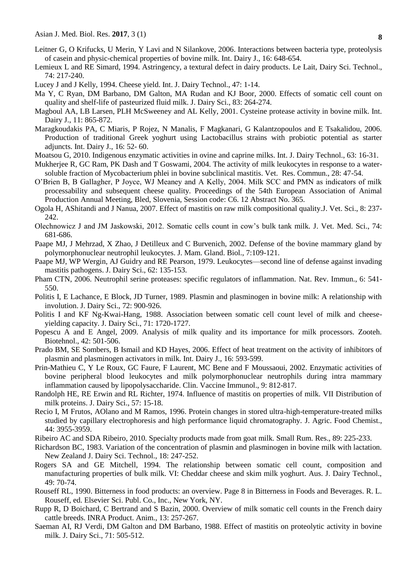- Leitner G, O Krifucks, U Merin, Y Lavi and N Silankove, 2006. Interactions between bacteria type, proteolysis of casein and physic-chemical properties of bovine milk. Int. Dairy J., 16: 648-654.
- Lemieux L and RE Simard, 1994. Astringency, a textural defect in dairy products. Le Lait*,* Dairy Sci. Technol., 74: 217-240.
- Lucey J and J Kelly, 1994. Cheese yield. Int. J. Dairy Technol., 47: 1-14.
- Ma Y, C Ryan, DM Barbano, DM Galton, MA Rudan and KJ Boor, 2000. Effects of somatic cell count on quality and shelf-life of pasteurized fluid milk. J. Dairy Sci., 83: 264-274.
- Magboul AA, LB Larsen, PLH McSweeney and AL Kelly, 2001. Cysteine protease activity in bovine milk. Int. Dairy J., 11: 865-872.
- Maragkoudakis PA, C Miaris, P Rojez, N Manalis, F Magkanari, G Kalantzopoulos and E Tsakalidou, 2006. Production of traditional Greek yoghurt using Lactobacillus strains with probiotic potential as starter adjuncts. Int. Dairy J., 16: 52- 60.
- Moatsou G, 2010. Indigenous enzymatic activities in ovine and caprine milks. Int. J. Dairy Technol., 63: 16-31.
- Mukherjee R, GC Ram, PK Dash and T Goswami, 2004. The activity of milk leukocytes in response to a watersoluble fraction of Mycobacterium phlei in bovine subclinical mastitis. Vet. Res. Commun., 28: 47-54.
- O'Brien B, B Gallagher, P Joyce, WJ Meaney and A Kelly, 2004. Milk SCC and PMN as indicators of milk processability and subsequent cheese quality. Proceedings of the 54th European Association of Animal Production Annual Meeting, Bled, Slovenia, Session code: C6. 12 Abstract No. 365.
- [Ogola](https://www.ncbi.nlm.nih.gov/pubmed/?term=Ogola%20H%5BAuthor%5D&cauthor=true&cauthor_uid=17679769) H, [AShitandi](https://www.ncbi.nlm.nih.gov/pubmed/?term=Shitandi%20A%5BAuthor%5D&cauthor=true&cauthor_uid=17679769) and J [Nanua,](https://www.ncbi.nlm.nih.gov/pubmed/?term=Nanua%20J%5BAuthor%5D&cauthor=true&cauthor_uid=17679769) 2007. Effect of mastitis on raw milk compositional quality[.J. Vet. Sci.](https://www.ncbi.nlm.nih.gov/pmc/articles/PMC2868129/), 8: 237- 242.
- Olechnowicz J and JM Jaskowski, 2012. Somatic cells count in cow's bulk tank milk. J. Vet. Med. Sci., 74: 681-686.
- Paape MJ, J Mehrzad, X Zhao, J Detilleux and C Burvenich, 2002. Defense of the bovine mammary gland by polymorphonuclear neutrophil leukocytes. J. Mam. Gland. Biol., 7:109-121.
- Paape MJ, WP Wergin, AJ Guidry and RE Pearson, 1979. Leukocytes—second line of defense against invading mastitis pathogens. J. Dairy Sci., 62: 135-153.
- Pham CTN, 2006. Neutrophil serine proteases: specific regulators of inflammation. [Nat. Rev. Immun.](https://www.google.com.bd/url?sa=t&rct=j&q=&esrc=s&source=web&cd=1&cad=rja&uact=8&ved=0ahUKEwi53dPs6f_QAhVFo48KHcMRAgcQFggbMAA&url=http%3A%2F%2Fwww.nature.com%2Fnri%2F&usg=AFQjCNHHBa6QX7vsOY2m-8hJB0a_NrUG-A&sig2=hL6SCy-Gjy73ES8mv1SFEg&bvm=bv.142059868,d.c2I), 6: 541- 550.
- Politis I, E Lachance, E Block, JD Turner, 1989. Plasmin and plasminogen in bovine milk: A relationship with involution. J. Dairy Sci., 72: 900-926.
- Politis I and KF Ng-Kwai-Hang, 1988. Association between somatic cell count level of milk and cheeseyielding capacity. J. Dairy Sci., 71: 1720-1727.
- Popescu A and E Angel, 2009. Analysis of milk quality and its importance for milk processors. Zooteh. Biotehnol., 42: 501-506.
- Prado BM, SE Sombers, B Ismail and KD Hayes, 2006. Effect of heat treatment on the activity of inhibitors of plasmin and plasminogen activators in milk. Int. Dairy J., 16: 593-599.
- Prin-Mathieu C, Y Le Roux, GC Faure, F Laurent, MC Bene and F Moussaoui, 2002. Enzymatic activities of bovine peripheral blood leukocytes and milk polymorphonuclear neutrophils during intra mammary inflammation caused by lipopolysaccharide. [Clin. Vaccine Immunol.](https://www.google.com.bd/url?sa=t&rct=j&q=&esrc=s&source=web&cd=9&cad=rja&uact=8&ved=0ahUKEwifgqzew__QAhWJL48KHZA9BYcQFgg0MAg&url=https%3A%2F%2Fen.wikipedia.org%2Fwiki%2FClinical_and_Vaccine_Immunology&usg=AFQjCNFzDsyfDewqdzK-qSTtW11IIjuBpQ&sig2=kslWEaEHCLie8xOWKigxMA), 9: 812-817.
- Randolph HE, RE Erwin and RL Richter, 1974. Influence of mastitis on properties of milk. VII Distribution of milk proteins. J. Dairy Sci., 57: 15-18.
- Recio I, M Frutos, AOlano and M Ramos, 1996. Protein changes in stored ultra-high-temperature-treated milks studied by capillary electrophoresis and high performance liquid chromatography. J. Agric. Food Chemist., 44: 3955-3959.
- Ribeiro AC and SDA Ribeiro, 2010. Specialty products made from goat milk. Small Rum. Res., 89: 225-233.
- Richardson BC, 1983. Variation of the concentration of plasmin and plasminogen in bovine milk with lactation. New Zealand J. Dairy Sci. Technol., 18: 247-252.
- Rogers SA and GE Mitchell, 1994. The relationship between somatic cell count, composition and manufacturing properties of bulk milk. VI: Cheddar cheese and skim milk yoghurt. Aus. J. Dairy Technol., 49: 70-74.
- Rouseff RL, 1990. Bitterness in food products: an overview. Page 8 in Bitterness in Foods and Beverages. R. L. Rouseff, ed. Elsevier Sci. Publ. Co., Inc., New York, NY.
- Rupp R, D Boichard, C Bertrand and S Bazin, 2000. Overview of milk somatic cell counts in the French dairy cattle breeds. INRA Product. Anim., 13: 257-267.
- Saeman AI, RJ Verdi, DM Galton and DM Barbano, 1988. Effect of mastitis on proteolytic activity in bovine milk. J. Dairy Sci., 71: 505-512.